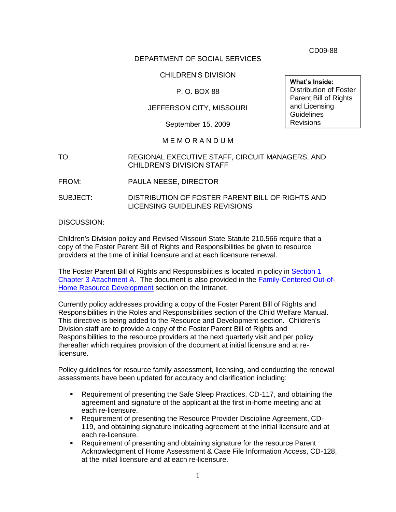CD09-88

## DEPARTMENT OF SOCIAL SERVICES

### CHILDREN'S DIVISION

### P. O. BOX 88

## JEFFERSON CITY, MISSOURI

September 15, 2009

#### M E M O R A N D U M

- TO: REGIONAL EXECUTIVE STAFF, CIRCUIT MANAGERS, AND CHILDREN'S DIVISION STAFF
- FROM: PAULA NEESE, DIRECTOR
- SUBJECT: DISTRIBUTION OF FOSTER PARENT BILL OF RIGHTS AND LICENSING GUIDELINES REVISIONS

#### DISCUSSION:

Children's Division policy and Revised Missouri State Statute 210.566 require that a copy of the Foster Parent Bill of Rights and Responsibilities be given to resource providers at the time of initial licensure and at each licensure renewal.

The Foster Parent Bill of Rights and Responsibilities is located in policy in [Section 1](http://www.dss.mo.gov/cd/info/cwmanual/section1/ch3/sec1ch3attacha.htm)  [Chapter 3 Attachment A.](http://www.dss.mo.gov/cd/info/cwmanual/section1/ch3/sec1ch3attacha.htm) The document is also provided in the [Family-Centered Out-of-](http://dssweb/cs/programs/res_dev/index.htm)[Home Resource Development](http://dssweb/cs/programs/res_dev/index.htm) section on the Intranet.

Currently policy addresses providing a copy of the Foster Parent Bill of Rights and Responsibilities in the Roles and Responsibilities section of the Child Welfare Manual. This directive is being added to the Resource and Development section. Children's Division staff are to provide a copy of the Foster Parent Bill of Rights and Responsibilities to the resource providers at the next quarterly visit and per policy thereafter which requires provision of the document at initial licensure and at relicensure.

Policy guidelines for resource family assessment, licensing, and conducting the renewal assessments have been updated for accuracy and clarification including:

- Requirement of presenting the Safe Sleep Practices, CD-117, and obtaining the agreement and signature of the applicant at the first in-home meeting and at each re-licensure.
- Requirement of presenting the Resource Provider Discipline Agreement, CD-119, and obtaining signature indicating agreement at the initial licensure and at each re-licensure.
- Requirement of presenting and obtaining signature for the resource Parent Acknowledgment of Home Assessment & Case File Information Access, CD-128, at the initial licensure and at each re-licensure.

**What's Inside:** Distribution of Foster Parent Bill of Rights and Licensing **Guidelines** Revisions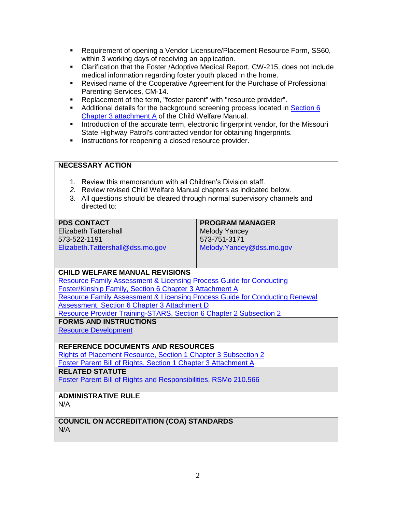- Requirement of opening a Vendor Licensure/Placement Resource Form, SS60, within 3 working days of receiving an application.
- Clarification that the Foster /Adoptive Medical Report, CW-215, does not include medical information regarding foster youth placed in the home.
- Revised name of the Cooperative Agreement for the Purchase of Professional Parenting Services, CM-14.
- Replacement of the term, "foster parent" with "resource provider".
- Additional details for the background screening process located in [Section 6](http://www.dss.mo.gov/cd/info/cwmanual/section6/ch3/sec6ch3attacha.htm)  [Chapter 3 attachment A](http://www.dss.mo.gov/cd/info/cwmanual/section6/ch3/sec6ch3attacha.htm) of the Child Welfare Manual.
- **Introduction of the accurate term, electronic fingerprint vendor, for the Missouri** State Highway Patrol's contracted vendor for obtaining fingerprints.
- **Instructions for reopening a closed resource provider.**

#### **NECESSARY ACTION**

- 1. Review this memorandum with all Children's Division staff.
- *2.* Review revised Child Welfare Manual chapters as indicated below.
- 3. All questions should be cleared through normal supervisory channels and directed to:

| <b>PROGRAM MANAGER</b>    |
|---------------------------|
| <b>Melody Yancey</b>      |
| 573-751-3171              |
| Melody. Yancey@dss.mo.gov |
|                           |

#### **CHILD WELFARE MANUAL REVISIONS**

[Resource Family Assessment & Licensing Process Guide for Conducting](http://www.dss.mo.gov/cd/info/cwmanual/section6/ch3/sec6ch3attacha.htm)  [Foster/Kinship Family, Section 6 Chapter 3 Attachment A](http://www.dss.mo.gov/cd/info/cwmanual/section6/ch3/sec6ch3attacha.htm) [Resource Family Assessment & Licensing Process Guide for Conducting Renewal](http://www.dss.mo.gov/cd/info/cwmanual/section6/ch3/sec6ch3attachd.htm)  [Assessment, Section 6 Chapter 3 Attachment D](http://www.dss.mo.gov/cd/info/cwmanual/section6/ch3/sec6ch3attachd.htm) [Resource Provider Training-STARS, Section 6 Chapter 2 Subsection 2](http://www.dss.mo.gov/cd/info/cwmanual/section6/ch2/sec6ch2sub2.htm) **FORMS AND INSTRUCTIONS**

[Resource Development](http://dssweb/cs/programs/res_dev/index.htm)

#### **REFERENCE DOCUMENTS AND RESOURCES**

[Rights of Placement Resource, Section 1 Chapter 3 Subsection 2](http://www.dss.mo.gov/cd/info/cwmanual/section1/ch3/sec1ch3sub2.htm) [Foster Parent Bill of Rights, Section 1 Chapter 3 Attachment A](http://www.dss.mo.gov/cd/info/cwmanual/section1/ch3/sec1ch3attacha.htm)

# **RELATED STATUTE**

Foster Parent Bill of Rights [and Responsibilities, RSMo 210.566](http://www.moga.missouri.gov/statutes/C200-299/2100000566.HTM)

## **ADMINISTRATIVE RULE**

N/A

#### **COUNCIL ON ACCREDITATION (COA) STANDARDS** N/A